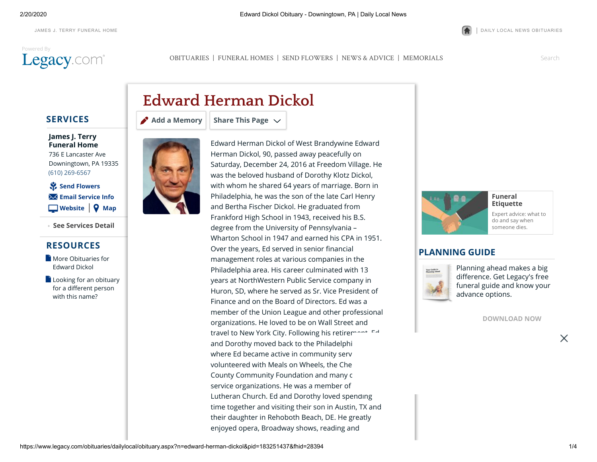# [Powered](http://www.legacy.com/obituaries/dailylocal/) By



2/20/2020 Edward Dickol Obituary - Downingtown, PA | Daily Local News

JAMES J. TERRY [FUNERAL](http://www.jamesterryfuneralhome.com/) HOME **|** DAILY LOCAL NEWS [OBITUARIES](https://www.legacy.com/obituaries/dailylocal/)

[OBITUARIES](http://www.legacy.com/obituaries/dailylocal) | [FUNERAL HOMES](https://www.legacy.com/funeral-homes/directory/?affiliateId=1558) | [SEND FLOWERS](https://sympathy.legacy.com/funeral-flowers/Edward-Herman-Dickol-funeral-flowers/p183251437/?affiliateid=1558) | [NEWS & ADVICE](http://www.legacy.com/news) | [MEMORIALS](http://www.legacy.com/memorial-sites/2018/)

Search

## **SERVICES**

**James J. Terry [Funeral Home](https://www.legacy.com/funeral-homes/James-J-Terry-Funeral-Home/fh-28394/?affiliateId=1558)** 736 E Lancaster Ave Downingtown, PA 19335 (610) 269-6567

| **[Website](http://www.jamesterryfuneralhome.com/) [Map](http://maps.google.com/maps?q=736+E+Lancaster+Ave+Downingtown+PA+19335)** ⚘ **[Send Flowers](javascript:void(0))** ✉ **[Email Service Info](https://www.legacy.com/obituaries/dailylocal/obituary-email.aspx?n=edward-herman-dickol&pid=183251437&emailtype=ServiceDateShare)**

**See Services Detail +**

### **RESOURCES**

- **Nore Obituaries for** Edward Dickol
- **[Looking for an obituary](https://www.legacy.com/obituaries/name/by/dickol/edward)** for a different person with this name?



# **[Add a Memory](https://www.legacy.com/guestbooks/dailylocal/edward-herman-dickol-condolences/183251437?cid=full) Share This Page**

**Edward Herman Dickol**





## **Etiquette** [Expert advice: what to](http://www.legacy.com/news/advice-and-support/article/funeral-etiquette)

do and say when someone dies.

### **PLANNING GUIDE**



Planning ahead makes a big difference. Get Legacy's free [funeral guide and know your](https://www.legacy.com/funeral-homes/planning/guide?fhz=19335) advance options.

**[DOWNLOAD NOW](https://www.legacy.com/funeral-homes/planning/guide?fhz=19335)**

X